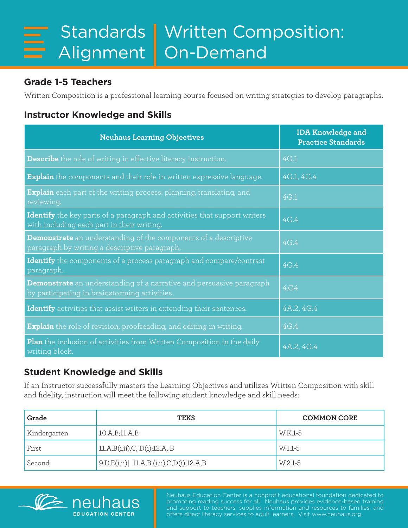## **Grade 1-5 Teachers**

Written Composition is a professional learning course focused on writing strategies to develop paragraphs.

## **Instructor Knowledge and Skills**

| <b>Neuhaus Learning Objectives</b>                                                                                           | <b>IDA Knowledge and</b><br><b>Practice Standards</b> |
|------------------------------------------------------------------------------------------------------------------------------|-------------------------------------------------------|
| Describe the role of writing in effective literacy instruction.                                                              | 4G.1                                                  |
| <b>Explain</b> the components and their role in written expressive language.                                                 | 4G.1, 4G.4                                            |
| <b>Explain</b> each part of the writing process: planning, translating, and<br>reviewing.                                    | 4G.1                                                  |
| Identify the key parts of a paragraph and activities that support writers<br>with including each part in their writing.      | 4G.4                                                  |
| <b>Demonstrate</b> an understanding of the components of a descriptive<br>paragraph by writing a descriptive paragraph.      | 4G.4                                                  |
| Identify the components of a process paragraph and compare/contrast<br>paragraph.                                            | 4G.4                                                  |
| <b>Demonstrate</b> an understanding of a narrative and persuasive paragraph<br>by participating in brainstorming activities. | 4.G4                                                  |
| Identify activities that assist writers in extending their sentences.                                                        | 4A.2, 4G.4                                            |
| <b>Explain</b> the role of revision, proofreading, and editing in writing.                                                   | 4G.4                                                  |
| Plan the inclusion of activities from Written Composition in the daily<br>writing block.                                     | 4A.2, 4G.4                                            |

## **Student Knowledge and Skills**

**FDUCATION CENTER** 

If an Instructor successfully masters the Learning Objectives and utilizes Written Composition with skill and fidelity, instruction will meet the following student knowledge and skill needs:

| Grade        | <b>TEKS</b>                                 | <b>COMMON CORE</b> |
|--------------|---------------------------------------------|--------------------|
| Kindergarten | 10.A,B;11.A,B                               | W.K.1-5            |
| First        | 11.A,B(i,ii),C, D(i);12.A, B                | W.1.1-5            |
| Second       | $ 9.D,E(i,ii)  11.A.B (i,ii).C,D(i);12.A.B$ | W.2.1-5            |



Neuhaus Education Center is a nonprofit educational foundation dedicated to promoting reading success for all. Neuhaus provides evidence-based training and support to teachers, supplies information and resources to families, and offers direct literacy services to adult learners. Visit www.neuhaus.org.